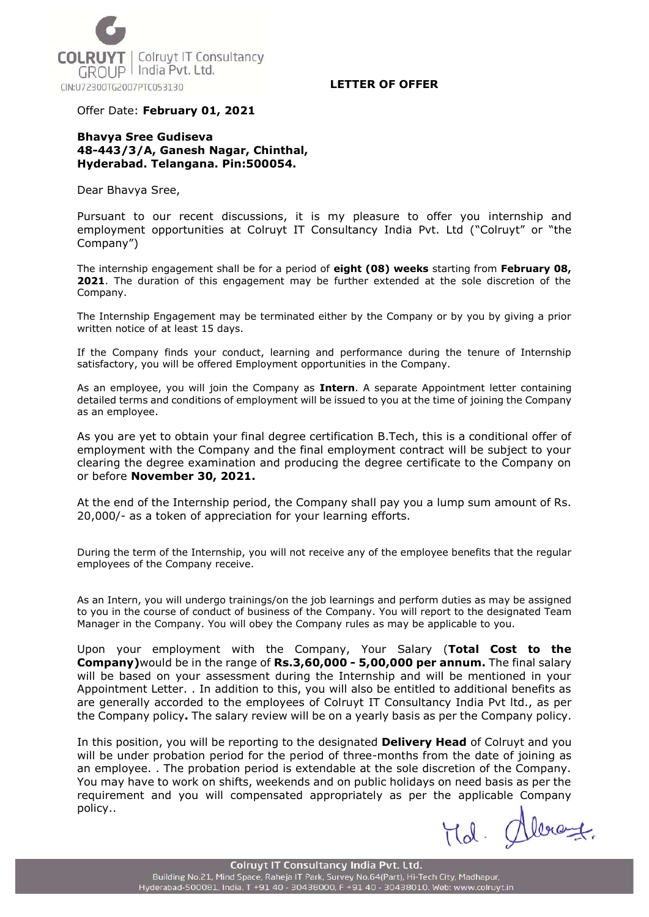

Offer Date: **February 01, 2021**

## **Bhavya Sree Gudiseva 48-443/3/A, Ganesh Nagar, Chinthal, Hyderabad. Telangana. Pin:500054.**

Dear Bhavya Sree,

Pursuant to our recent discussions, it is my pleasure to offer you internship and employment opportunities at Colruyt IT Consultancy India Pvt. Ltd ("Colruyt" or "the Company")

The internship engagement shall be for a period of **eight (08) weeks** starting from **February 08, 2021**. The duration of this engagement may be further extended at the sole discretion of the Company.

The Internship Engagement may be terminated either by the Company or by you by giving a prior written notice of at least 15 days.

If the Company finds your conduct, learning and performance during the tenure of Internship satisfactory, you will be offered Employment opportunities in the Company.

As an employee, you will join the Company as **Intern**. A separate Appointment letter containing detailed terms and conditions of employment will be issued to you at the time of joining the Company as an employee.

As you are yet to obtain your final degree certification B.Tech, this is a conditional offer of employment with the Company and the final employment contract will be subject to your clearing the degree examination and producing the degree certificate to the Company on or before **November 30, 2021.**

At the end of the Internship period, the Company shall pay you a lump sum amount of Rs. 20,000/- as a token of appreciation for your learning efforts.

During the term of the Internship, you will not receive any of the employee benefits that the regular employees of the Company receive.

As an Intern, you will undergo trainings/on the job learnings and perform duties as may be assigned to you in the course of conduct of business of the Company. You will report to the designated Team Manager in the Company. You will obey the Company rules as may be applicable to you.

Upon your employment with the Company, Your Salary (**Total Cost to the Company)**would be in the range of **Rs.3,60,000 - 5,00,000 per annum.** The final salary will be based on your assessment during the Internship and will be mentioned in your Appointment Letter. . In addition to this, you will also be entitled to additional benefits as are generally accorded to the employees of Colruyt IT Consultancy India Pvt ltd., as per the Company policy**.** The salary review will be on a yearly basis as per the Company policy.

In this position, you will be reporting to the designated **Delivery Head** of Colruyt and you will be under probation period for the period of three-months from the date of joining as an employee. . The probation period is extendable at the sole discretion of the Company. You may have to work on shifts, weekends and on public holidays on need basis as per the requirement and you will compensated appropriately as per the applicable Company policy..

Hd. Alexant.